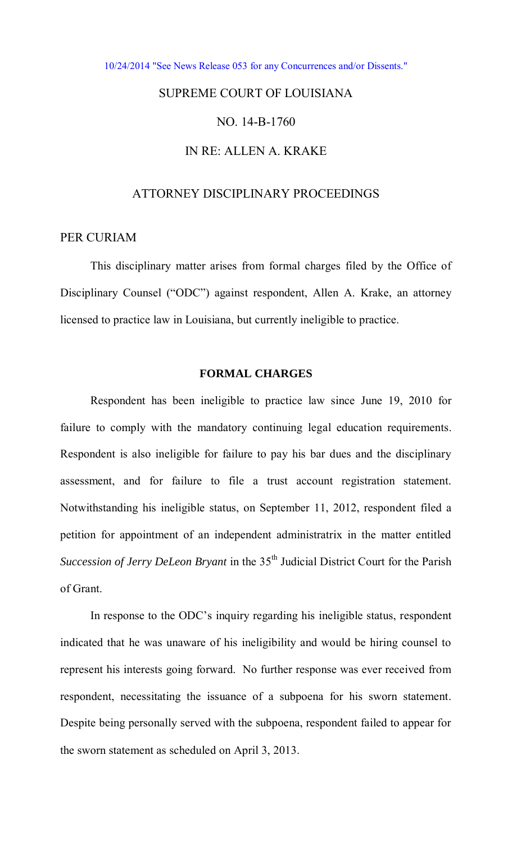[10/24/2014 "See News Release 053 for any Concurrences and/or Dissents."](http://www.lasc.org/Actions?p=2014-053) 

# SUPREME COURT OF LOUISIANA

## NO. 14-B-1760

## IN RE: ALLEN A. KRAKE

## ATTORNEY DISCIPLINARY PROCEEDINGS

## PER CURIAM

This disciplinary matter arises from formal charges filed by the Office of Disciplinary Counsel ("ODC") against respondent, Allen A. Krake, an attorney licensed to practice law in Louisiana, but currently ineligible to practice.

### **FORMAL CHARGES**

Respondent has been ineligible to practice law since June 19, 2010 for failure to comply with the mandatory continuing legal education requirements. Respondent is also ineligible for failure to pay his bar dues and the disciplinary assessment, and for failure to file a trust account registration statement. Notwithstanding his ineligible status, on September 11, 2012, respondent filed a petition for appointment of an independent administratrix in the matter entitled *Succession of Jerry DeLeon Bryant* in the 35<sup>th</sup> Judicial District Court for the Parish of Grant.

In response to the ODC's inquiry regarding his ineligible status, respondent indicated that he was unaware of his ineligibility and would be hiring counsel to represent his interests going forward. No further response was ever received from respondent, necessitating the issuance of a subpoena for his sworn statement. Despite being personally served with the subpoena, respondent failed to appear for the sworn statement as scheduled on April 3, 2013.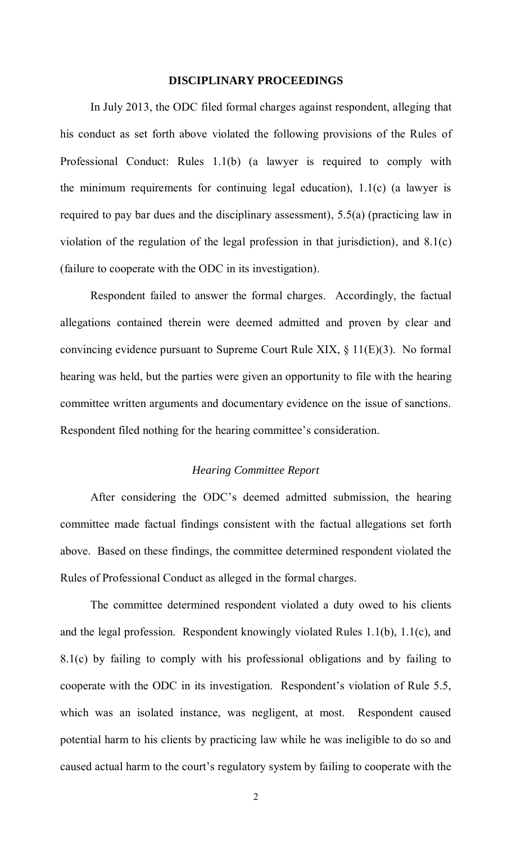## **DISCIPLINARY PROCEEDINGS**

In July 2013, the ODC filed formal charges against respondent, alleging that his conduct as set forth above violated the following provisions of the Rules of Professional Conduct: Rules 1.1(b) (a lawyer is required to comply with the minimum requirements for continuing legal education), 1.1(c) (a lawyer is required to pay bar dues and the disciplinary assessment), 5.5(a) (practicing law in violation of the regulation of the legal profession in that jurisdiction), and 8.1(c) (failure to cooperate with the ODC in its investigation).

Respondent failed to answer the formal charges. Accordingly, the factual allegations contained therein were deemed admitted and proven by clear and convincing evidence pursuant to Supreme Court Rule XIX, § 11(E)(3). No formal hearing was held, but the parties were given an opportunity to file with the hearing committee written arguments and documentary evidence on the issue of sanctions. Respondent filed nothing for the hearing committee's consideration.

#### *Hearing Committee Report*

After considering the ODC's deemed admitted submission, the hearing committee made factual findings consistent with the factual allegations set forth above. Based on these findings, the committee determined respondent violated the Rules of Professional Conduct as alleged in the formal charges.

The committee determined respondent violated a duty owed to his clients and the legal profession. Respondent knowingly violated Rules 1.1(b), 1.1(c), and 8.1(c) by failing to comply with his professional obligations and by failing to cooperate with the ODC in its investigation. Respondent's violation of Rule 5.5, which was an isolated instance, was negligent, at most. Respondent caused potential harm to his clients by practicing law while he was ineligible to do so and caused actual harm to the court's regulatory system by failing to cooperate with the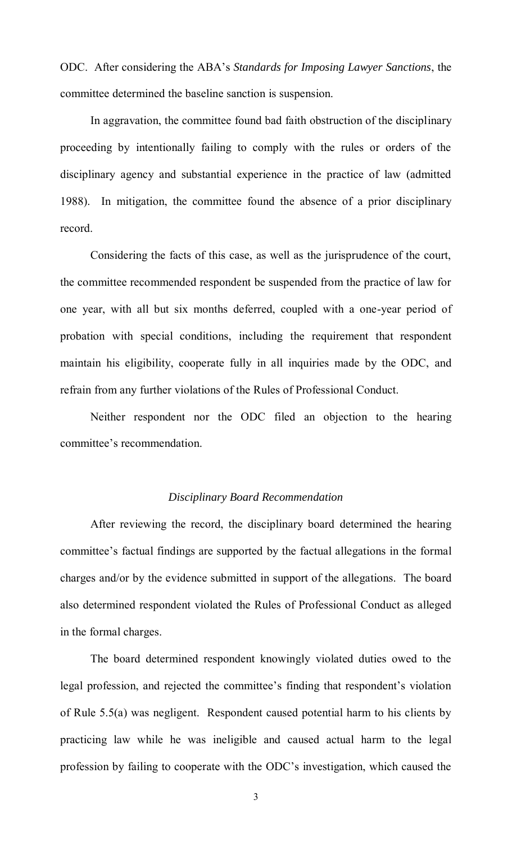ODC. After considering the ABA's *Standards for Imposing Lawyer Sanctions*, the committee determined the baseline sanction is suspension.

In aggravation, the committee found bad faith obstruction of the disciplinary proceeding by intentionally failing to comply with the rules or orders of the disciplinary agency and substantial experience in the practice of law (admitted 1988). In mitigation, the committee found the absence of a prior disciplinary record.

Considering the facts of this case, as well as the jurisprudence of the court, the committee recommended respondent be suspended from the practice of law for one year, with all but six months deferred, coupled with a one-year period of probation with special conditions, including the requirement that respondent maintain his eligibility, cooperate fully in all inquiries made by the ODC, and refrain from any further violations of the Rules of Professional Conduct.

Neither respondent nor the ODC filed an objection to the hearing committee's recommendation.

#### *Disciplinary Board Recommendation*

 After reviewing the record, the disciplinary board determined the hearing committee's factual findings are supported by the factual allegations in the formal charges and/or by the evidence submitted in support of the allegations. The board also determined respondent violated the Rules of Professional Conduct as alleged in the formal charges.

The board determined respondent knowingly violated duties owed to the legal profession, and rejected the committee's finding that respondent's violation of Rule 5.5(a) was negligent. Respondent caused potential harm to his clients by practicing law while he was ineligible and caused actual harm to the legal profession by failing to cooperate with the ODC's investigation, which caused the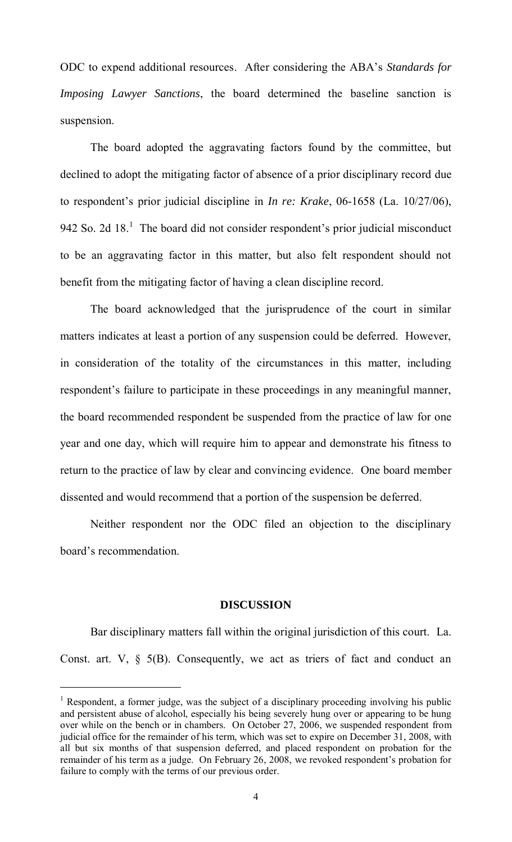ODC to expend additional resources. After considering the ABA's *Standards for Imposing Lawyer Sanctions*, the board determined the baseline sanction is suspension.

The board adopted the aggravating factors found by the committee, but declined to adopt the mitigating factor of absence of a prior disciplinary record due to respondent's prior judicial discipline in *In re: Krake*, 06-1658 (La. 10/27/06), 942 So. 2d  $18<sup>1</sup>$  The board did not consider respondent's prior judicial misconduct to be an aggravating factor in this matter, but also felt respondent should not benefit from the mitigating factor of having a clean discipline record.

The board acknowledged that the jurisprudence of the court in similar matters indicates at least a portion of any suspension could be deferred. However, in consideration of the totality of the circumstances in this matter, including respondent's failure to participate in these proceedings in any meaningful manner, the board recommended respondent be suspended from the practice of law for one year and one day, which will require him to appear and demonstrate his fitness to return to the practice of law by clear and convincing evidence. One board member dissented and would recommend that a portion of the suspension be deferred.

 Neither respondent nor the ODC filed an objection to the disciplinary board's recommendation.

#### **DISCUSSION**

Bar disciplinary matters fall within the original jurisdiction of this court. La. Const. art. V,  $\S$  5(B). Consequently, we act as triers of fact and conduct an

 $\overline{a}$ 

<sup>&</sup>lt;sup>1</sup> Respondent, a former judge, was the subject of a disciplinary proceeding involving his public and persistent abuse of alcohol, especially his being severely hung over or appearing to be hung over while on the bench or in chambers. On October 27, 2006, we suspended respondent from judicial office for the remainder of his term, which was set to expire on December 31, 2008, with all but six months of that suspension deferred, and placed respondent on probation for the remainder of his term as a judge. On February 26, 2008, we revoked respondent's probation for failure to comply with the terms of our previous order.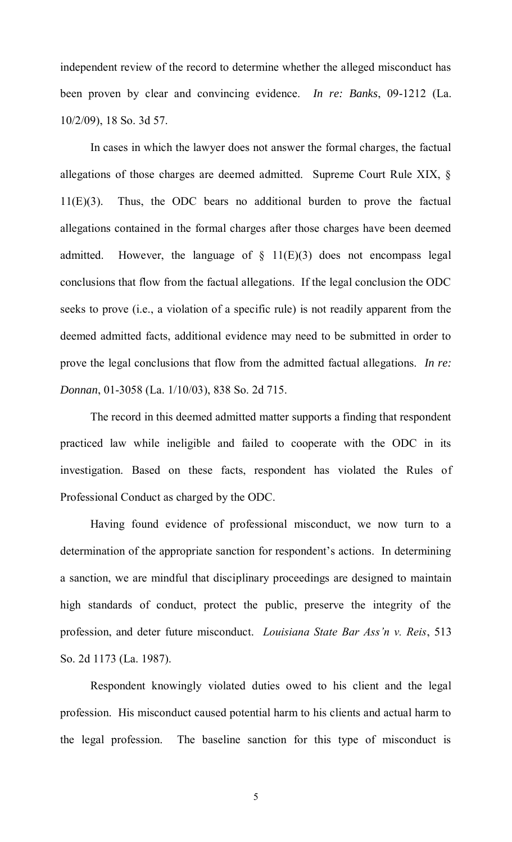independent review of the record to determine whether the alleged misconduct has been proven by clear and convincing evidence. *In re: Banks*, 09-1212 (La. 10/2/09), 18 So. 3d 57.

In cases in which the lawyer does not answer the formal charges, the factual allegations of those charges are deemed admitted. Supreme Court Rule XIX, § 11(E)(3). Thus, the ODC bears no additional burden to prove the factual allegations contained in the formal charges after those charges have been deemed admitted. However, the language of  $\S$  11(E)(3) does not encompass legal conclusions that flow from the factual allegations. If the legal conclusion the ODC seeks to prove (i.e., a violation of a specific rule) is not readily apparent from the deemed admitted facts, additional evidence may need to be submitted in order to prove the legal conclusions that flow from the admitted factual allegations. *In re: Donnan*, 01-3058 (La. 1/10/03), 838 So. 2d 715.

 The record in this deemed admitted matter supports a finding that respondent practiced law while ineligible and failed to cooperate with the ODC in its investigation. Based on these facts, respondent has violated the Rules of Professional Conduct as charged by the ODC.

Having found evidence of professional misconduct, we now turn to a determination of the appropriate sanction for respondent's actions. In determining a sanction, we are mindful that disciplinary proceedings are designed to maintain high standards of conduct, protect the public, preserve the integrity of the profession, and deter future misconduct. *Louisiana State Bar Ass'n v. Reis*, 513 So. 2d 1173 (La. 1987).

Respondent knowingly violated duties owed to his client and the legal profession. His misconduct caused potential harm to his clients and actual harm to the legal profession. The baseline sanction for this type of misconduct is

5